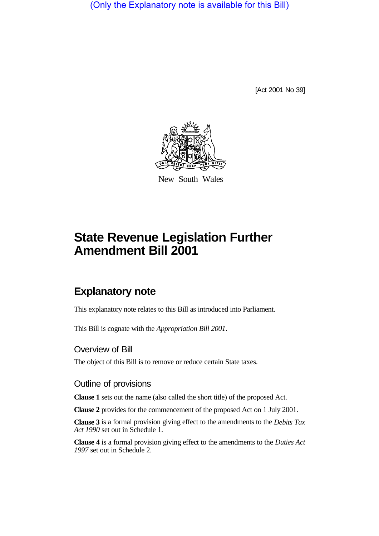(Only the Explanatory note is available for this Bill)

[Act 2001 No 39]



New South Wales

# **State Revenue Legislation Further Amendment Bill 2001**

## **Explanatory note**

This explanatory note relates to this Bill as introduced into Parliament.

This Bill is cognate with the *Appropriation Bill 2001*.

### Overview of Bill

The object of this Bill is to remove or reduce certain State taxes.

### Outline of provisions

**Clause 1** sets out the name (also called the short title) of the proposed Act.

**Clause 2** provides for the commencement of the proposed Act on 1 July 2001.

**Clause 3** is a formal provision giving effect to the amendments to the *Debits Tax Act 1990* set out in Schedule 1.

**Clause 4** is a formal provision giving effect to the amendments to the *Duties Act 1997* set out in Schedule 2.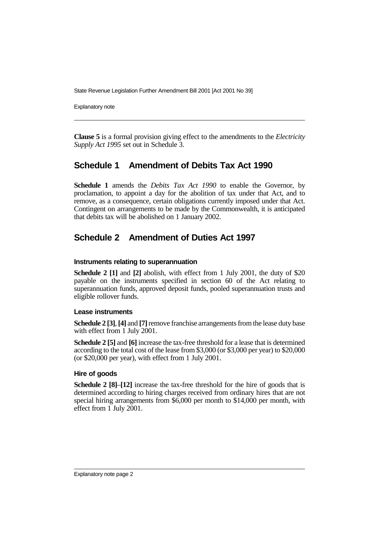State Revenue Legislation Further Amendment Bill 2001 [Act 2001 No 39]

Explanatory note

**Clause 5** is a formal provision giving effect to the amendments to the *Electricity Supply Act 1995* set out in Schedule 3.

### **Schedule 1 Amendment of Debits Tax Act 1990**

**Schedule 1** amends the *Debits Tax Act 1990* to enable the Governor, by proclamation, to appoint a day for the abolition of tax under that Act, and to remove, as a consequence, certain obligations currently imposed under that Act. Contingent on arrangements to be made by the Commonwealth, it is anticipated that debits tax will be abolished on 1 January 2002.

### **Schedule 2 Amendment of Duties Act 1997**

#### **Instruments relating to superannuation**

**Schedule 2 [1]** and **[2]** abolish, with effect from 1 July 2001, the duty of \$20 payable on the instruments specified in section 60 of the Act relating to superannuation funds, approved deposit funds, pooled superannuation trusts and eligible rollover funds.

#### **Lease instruments**

**Schedule 2 [3]**, **[4]** and **[7]** remove franchise arrangements from the lease duty base with effect from 1 July 2001.

**Schedule 2 [5]** and **[6]** increase the tax-free threshold for a lease that is determined according to the total cost of the lease from \$3,000 (or \$3,000 per year) to \$20,000 (or \$20,000 per year), with effect from 1 July 2001.

### **Hire of goods**

**Schedule 2 [8]**–**[12]** increase the tax-free threshold for the hire of goods that is determined according to hiring charges received from ordinary hires that are not special hiring arrangements from \$6,000 per month to \$14,000 per month, with effect from 1 July 2001.